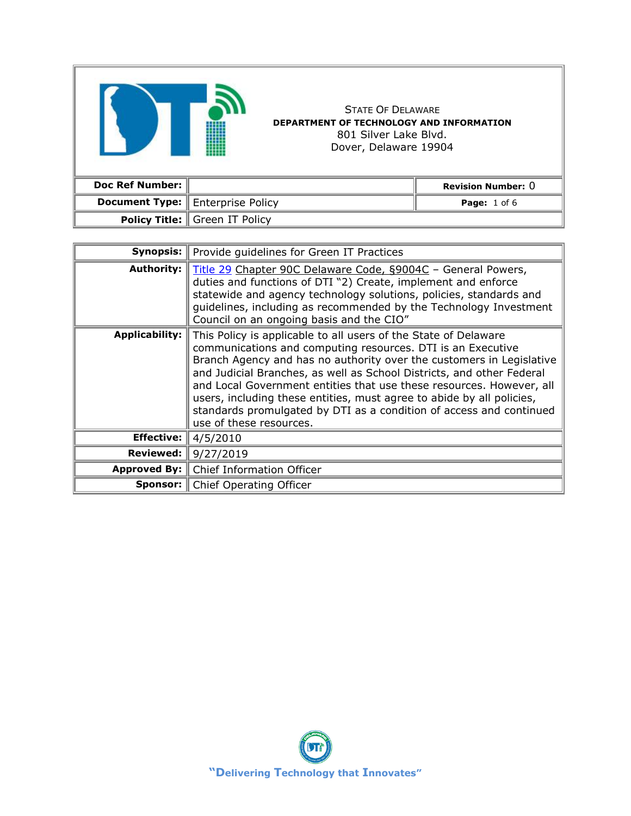| <b>Doc Ref Number:</b> |                 |
|------------------------|-----------------|
| <b>Document Type:</b>  | Enterprise Poli |

匠

**Doc Ref Number: Revision Number:** 0 **Document Type: Page:** 1 of 6 **Policy Title:** Green IT Policy **Synopsis:** Provide guidelines for Green IT Practices

STATE OF DELAWARE **DEPARTMENT OF TECHNOLOGY AND INFORMATION** 801 Silver Lake Blvd. Dover, Delaware 19904

| Synopsis:             | Provide quidelines for Green IT Practices                                                                                                                                                                                                                                                                                                                                                                                                                                                                                          |  |
|-----------------------|------------------------------------------------------------------------------------------------------------------------------------------------------------------------------------------------------------------------------------------------------------------------------------------------------------------------------------------------------------------------------------------------------------------------------------------------------------------------------------------------------------------------------------|--|
| <b>Authority:</b>     | Title 29 Chapter 90C Delaware Code, §9004C - General Powers,<br>duties and functions of DTI "2) Create, implement and enforce<br>statewide and agency technology solutions, policies, standards and<br>guidelines, including as recommended by the Technology Investment<br>Council on an ongoing basis and the CIO"                                                                                                                                                                                                               |  |
| <b>Applicability:</b> | This Policy is applicable to all users of the State of Delaware<br>communications and computing resources. DTI is an Executive<br>Branch Agency and has no authority over the customers in Legislative<br>and Judicial Branches, as well as School Districts, and other Federal<br>and Local Government entities that use these resources. However, all<br>users, including these entities, must agree to abide by all policies,<br>standards promulgated by DTI as a condition of access and continued<br>use of these resources. |  |
| <b>Effective:</b>     | 4/5/2010                                                                                                                                                                                                                                                                                                                                                                                                                                                                                                                           |  |
| <b>Reviewed:</b>      | 9/27/2019                                                                                                                                                                                                                                                                                                                                                                                                                                                                                                                          |  |
| <b>Approved By:</b>   | Chief Information Officer                                                                                                                                                                                                                                                                                                                                                                                                                                                                                                          |  |
|                       | <b>Sponsor:</b>   Chief Operating Officer                                                                                                                                                                                                                                                                                                                                                                                                                                                                                          |  |

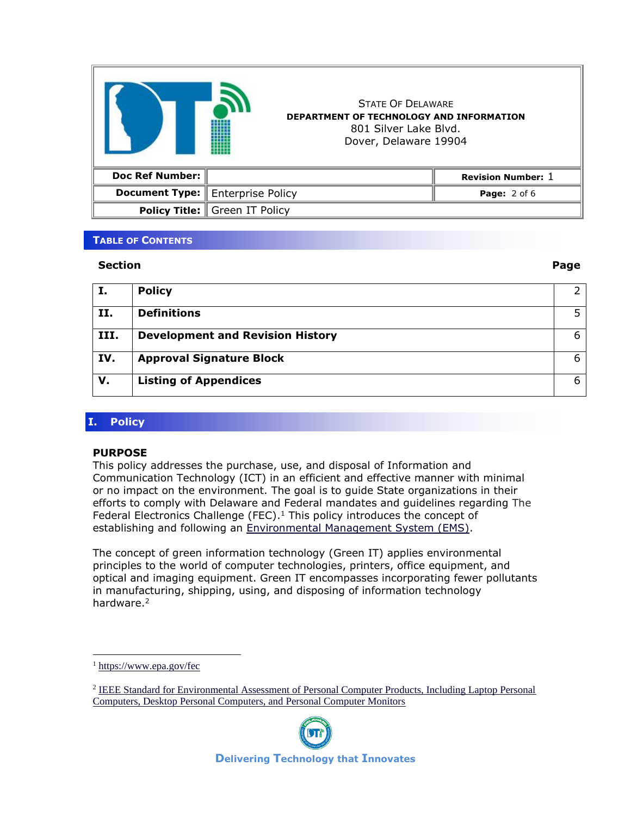|                        | <b>STATE OF DELAWARE</b><br><b>DEPARTMENT OF TECHNOLOGY AND INFORMATION</b><br>801 Silver Lake Blyd.<br>Dover, Delaware 19904 |                           |
|------------------------|-------------------------------------------------------------------------------------------------------------------------------|---------------------------|
| <b>Doc Ref Number:</b> |                                                                                                                               | <b>Revision Number: 1</b> |
|                        | <b>Document Type:   Enterprise Policy</b>                                                                                     | <b>Page:</b> 2 of 6       |
|                        | <b>Policy Title:   Green IT Policy</b>                                                                                        |                           |

### **TABLE OF CONTENTS**

#### **Section Page**

| х.   | <b>Policy</b>                           |   |
|------|-----------------------------------------|---|
|      |                                         |   |
| II.  | <b>Definitions</b>                      |   |
|      |                                         |   |
| III. | <b>Development and Revision History</b> | 6 |
| IV.  | <b>Approval Signature Block</b>         | 6 |
|      |                                         |   |
| v.   | <b>Listing of Appendices</b>            | 6 |
|      |                                         |   |

# **I. Policy**

### **PURPOSE**

This policy addresses the purchase, use, and disposal of Information and Communication Technology (ICT) in an efficient and effective manner with minimal or no impact on the environment. The goal is to guide State organizations in their efforts to comply with Delaware and Federal mandates and guidelines regarding The Federal Electronics Challenge (FEC).<sup>1</sup> This policy introduces the concept of establishing and following an [Environmental Management System \(EMS\).](http://www.epa.gov/EMS/)

The concept of green information technology (Green IT) applies environmental principles to the world of computer technologies, printers, office equipment, and optical and imaging equipment. Green IT encompasses incorporating fewer pollutants in manufacturing, shipping, using, and disposing of information technology hardware.<sup>2</sup>

<sup>&</sup>lt;sup>2</sup> IEEE Standard for Environmental Assessment of Personal Computer Products, Including Laptop Personal [Computers, Desktop Personal Computers, and Personal Computer Monitors](http://cstb.eu/wp-content/uploads/2015/01/IEEE-1680.pdf)



 $<sup>1</sup>$  <https://www.epa.gov/fec></sup>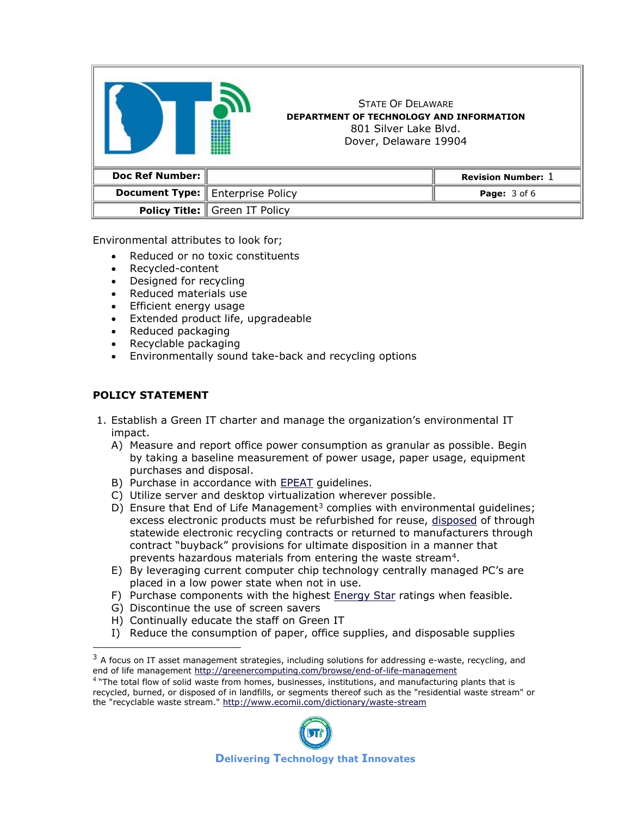|                        | <b>STATE OF DELAWARE</b><br><b>DEPARTMENT OF TECHNOLOGY AND INFORMATION</b><br>801 Silver Lake Blyd.<br>Dover, Delaware 19904 |                           |
|------------------------|-------------------------------------------------------------------------------------------------------------------------------|---------------------------|
| <b>Doc Ref Number:</b> |                                                                                                                               | <b>Revision Number: 1</b> |
| <b>Document Type:</b>  | <b>Enterprise Policy</b>                                                                                                      | <b>Page: 3 of 6</b>       |
|                        | <b>Policy Title: Green IT Policy</b>                                                                                          |                           |

Environmental attributes to look for;

- Reduced or no toxic constituents
- Recycled-content
- Designed for recycling
- Reduced materials use
- Efficient energy usage
- Extended product life, upgradeable
- Reduced packaging
- Recyclable packaging
- Environmentally sound take-back and recycling options

## **POLICY STATEMENT**

- 1. Establish a Green IT charter and manage the organization's environmental IT impact.
	- A) Measure and report office power consumption as granular as possible. Begin by taking a baseline measurement of power usage, paper usage, equipment purchases and disposal.
	- B) Purchase in accordance with [EPEAT](http://www.epeat.net/) guidelines.
	- C) Utilize server and desktop virtualization wherever possible.
	- D) Ensure that End of Life Management<sup>3</sup> complies with environmental guidelines; excess electronic products must be refurbished for reuse, [disposed](http://dti.delaware.gov/pdfs/pp/DisposalOfElectronicEquipmentAndStorageMedia.pdf) of through statewide electronic recycling contracts or returned to manufacturers through contract "buyback" provisions for ultimate disposition in a manner that prevents hazardous materials from entering the waste stream<sup>4</sup>.
	- E) By leveraging current computer chip technology centrally managed PC's are placed in a low power state when not in use.
	- F) Purchase components with the highest [Energy Star](http://www.energystar.gov/) ratings when feasible.
	- G) Discontinue the use of screen savers
	- H) Continually educate the staff on Green IT
	- I) Reduce the consumption of paper, office supplies, and disposable supplies

<sup>4</sup> "The total flow of solid waste from homes, businesses, institutions, and manufacturing plants that is recycled, burned, or disposed of in landfills, or segments thereof such as the "residential waste stream" or the "recyclable waste stream."<http://www.ecomii.com/dictionary/waste-stream>



 $3$  A focus on IT asset management strategies, including solutions for addressing e-waste, recycling, and end of life management<http://greenercomputing.com/browse/end-of-life-management>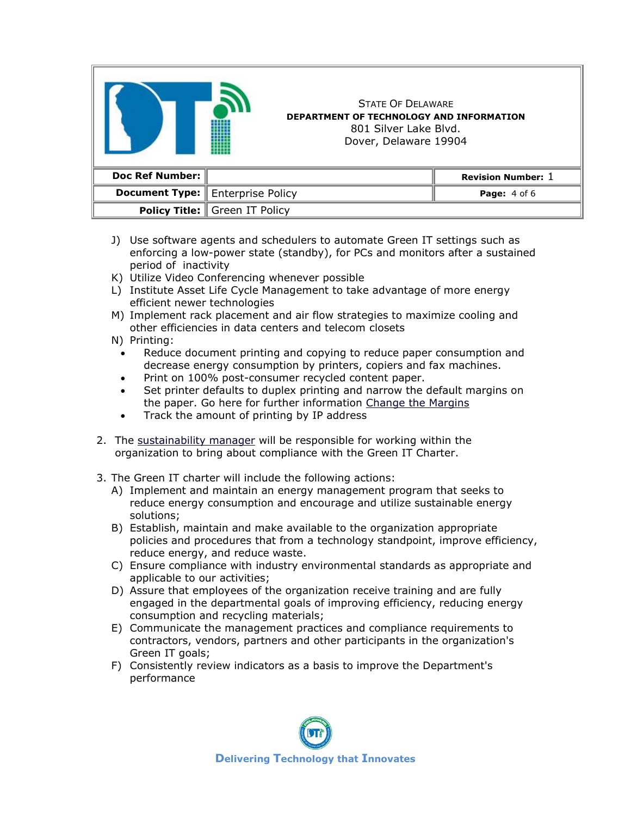|                        | <b>STATE OF DELAWARE</b><br>DEPARTMENT OF TECHNOLOGY AND INFORMATION<br>801 Silver Lake Blyd.<br>Dover, Delaware 19904 |                           |
|------------------------|------------------------------------------------------------------------------------------------------------------------|---------------------------|
| <b>Doc Ref Number:</b> |                                                                                                                        | <b>Revision Number: 1</b> |
|                        | <b>Document Type:</b> Enterprise Policy                                                                                | <b>Page:</b> 4 of 6       |
|                        | <b>Policy Title:   Green IT Policy</b>                                                                                 |                           |

- J) Use software agents and schedulers to automate Green IT settings such as enforcing a low-power state (standby), for PCs and monitors after a sustained period of inactivity
- K) Utilize Video Conferencing whenever possible
- L) Institute Asset Life Cycle Management to take advantage of more energy efficient newer technologies
- M) Implement rack placement and air flow strategies to maximize cooling and other efficiencies in data centers and telecom closets
- N) Printing:
	- Reduce document printing and copying to reduce paper consumption and decrease energy consumption by printers, copiers and fax machines.
	- Print on 100% post-consumer recycled content paper.
	- Set printer defaults to duplex printing and narrow the default margins on the paper. Go here for further information [Change the Margins](http://sciencelush.typepad.com/change_the_margins/stats-how-much-will-i-rea.html)
	- Track the amount of printing by IP address
- 2. The [sustainability manager](http://governor.delaware.gov/orders/exec_order_18.shtml) will be responsible for working within the organization to bring about compliance with the Green IT Charter.
- 3. The Green IT charter will include the following actions:
	- A) Implement and maintain an energy management program that seeks to reduce energy consumption and encourage and utilize sustainable energy solutions;
	- B) Establish, maintain and make available to the organization appropriate policies and procedures that from a technology standpoint, improve efficiency, reduce energy, and reduce waste.
	- C) Ensure compliance with industry environmental standards as appropriate and applicable to our activities;
	- D) Assure that employees of the organization receive training and are fully engaged in the departmental goals of improving efficiency, reducing energy consumption and recycling materials;
	- E) Communicate the management practices and compliance requirements to contractors, vendors, partners and other participants in the organization's Green IT goals;
	- F) Consistently review indicators as a basis to improve the Department's performance

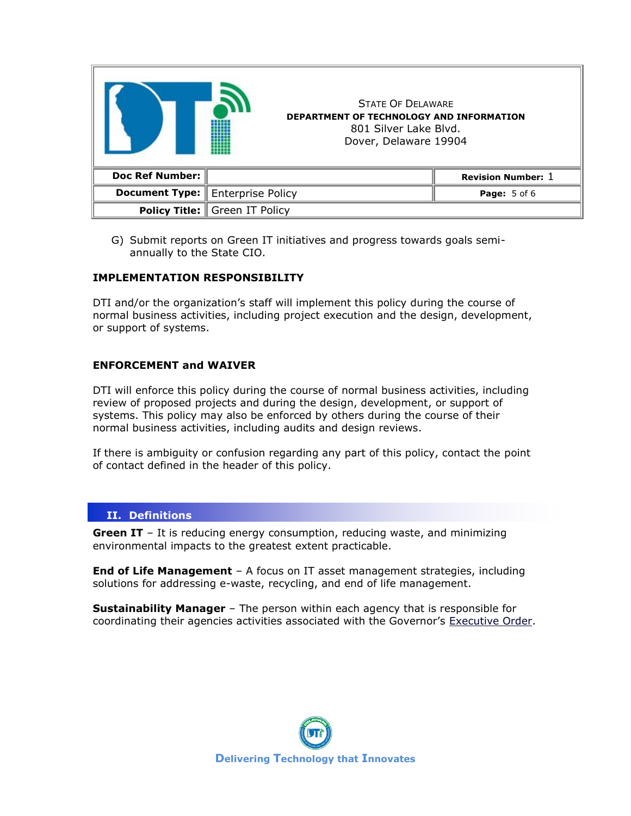|                        | <b>STATE OF DELAWARE</b><br><b>DEPARTMENT OF TECHNOLOGY AND INFORMATION</b><br>801 Silver Lake Blvd.<br>Dover, Delaware 19904 |                           |
|------------------------|-------------------------------------------------------------------------------------------------------------------------------|---------------------------|
| <b>Doc Ref Number:</b> |                                                                                                                               | <b>Revision Number: 1</b> |
| <b>Document Type:</b>  | Enterprise Policy                                                                                                             | <b>Page:</b> 5 of 6       |
|                        | <b>Policy Title:   Green IT Policy</b>                                                                                        |                           |

G) Submit reports on Green IT initiatives and progress towards goals semiannually to the State CIO.

## **IMPLEMENTATION RESPONSIBILITY**

DTI and/or the organization's staff will implement this policy during the course of normal business activities, including project execution and the design, development, or support of systems.

## **ENFORCEMENT and WAIVER**

DTI will enforce this policy during the course of normal business activities, including review of proposed projects and during the design, development, or support of systems. This policy may also be enforced by others during the course of their normal business activities, including audits and design reviews.

If there is ambiguity or confusion regarding any part of this policy, contact the point of contact defined in the header of this policy.

### **II. Definitions**

**Green IT** – It is reducing energy consumption, reducing waste, and minimizing environmental impacts to the greatest extent practicable.

**End of Life Management** – A focus on IT asset management strategies, including solutions for addressing e-waste, recycling, and end of life management.

**Sustainability Manager** – The person within each agency that is responsible for coordinating their agencies activities associated with the Governor's [Executive Order.](http://governor.delaware.gov/orders/exec_order_18.shtml)